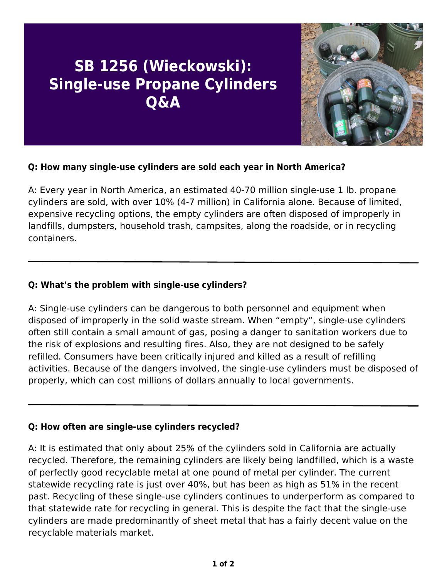# **SB 1256 (Wieckowski): Single-use Propane Cylinders Q&A**



## **Q: How many single-use cylinders are sold each year in North America?**

A: Every year in North America, an estimated 40-70 million single-use 1 lb. propane cylinders are sold, with over 10% (4-7 million) in California alone. Because of limited, expensive recycling options, the empty cylinders are often disposed of improperly in landfills, dumpsters, household trash, campsites, along the roadside, or in recycling containers.

### **Q: What's the problem with single-use cylinders?**

A: Single-use cylinders can be dangerous to both personnel and equipment when disposed of improperly in the solid waste stream. When "empty", single-use cylinders often still contain a small amount of gas, posing a danger to sanitation workers due to the risk of explosions and resulting fires. Also, they are not designed to be safely refilled. Consumers have been critically injured and killed as a result of refilling activities. Because of the dangers involved, the single-use cylinders must be disposed of properly, which can cost millions of dollars annually to local governments.

#### **Q: How often are single-use cylinders recycled?**

A: It is estimated that only about 25% of the cylinders sold in California are actually recycled. Therefore, the remaining cylinders are likely being landfilled, which is a waste of perfectly good recyclable metal at one pound of metal per cylinder. The current statewide recycling rate is just over 40%, but has been as high as 51% in the recent past. Recycling of these single-use cylinders continues to underperform as compared to that statewide rate for recycling in general. This is despite the fact that the single-use cylinders are made predominantly of sheet metal that has a fairly decent value on the recyclable materials market.